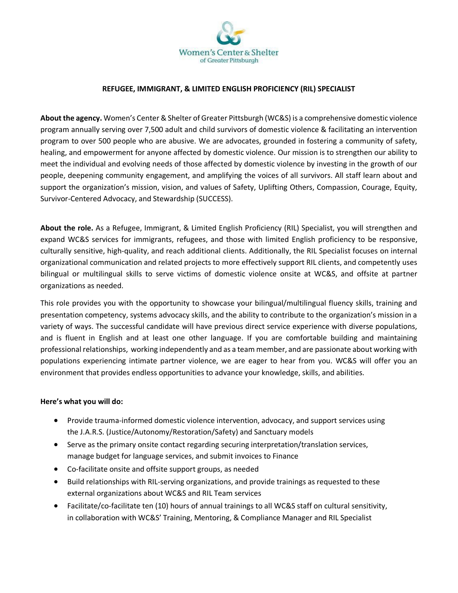

## **REFUGEE, IMMIGRANT, & LIMITED ENGLISH PROFICIENCY (RIL) SPECIALIST**

**About the agency.** Women's Center & Shelter of Greater Pittsburgh (WC&S) is a comprehensive domestic violence program annually serving over 7,500 adult and child survivors of domestic violence & facilitating an intervention program to over 500 people who are abusive. We are advocates, grounded in fostering a community of safety, healing, and empowerment for anyone affected by domestic violence. Our mission is to strengthen our ability to meet the individual and evolving needs of those affected by domestic violence by investing in the growth of our people, deepening community engagement, and amplifying the voices of all survivors. All staff learn about and support the organization's mission, vision, and values of Safety, Uplifting Others, Compassion, Courage, Equity, Survivor-Centered Advocacy, and Stewardship (SUCCESS).

**About the role.** As a Refugee, Immigrant, & Limited English Proficiency (RIL) Specialist, you will strengthen and expand WC&S services for immigrants, refugees, and those with limited English proficiency to be responsive, culturally sensitive, high-quality, and reach additional clients. Additionally, the RIL Specialist focuses on internal organizational communication and related projects to more effectively support RIL clients, and competently uses bilingual or multilingual skills to serve victims of domestic violence onsite at WC&S, and offsite at partner organizations as needed.

This role provides you with the opportunity to showcase your bilingual/multilingual fluency skills, training and presentation competency, systems advocacy skills, and the ability to contribute to the organization's mission in a variety of ways. The successful candidate will have previous direct service experience with diverse populations, and is fluent in English and at least one other language. If you are comfortable building and maintaining professional relationships, working independently and as a team member, and are passionate about working with populations experiencing intimate partner violence, we are eager to hear from you. WC&S will offer you an environment that provides endless opportunities to advance your knowledge, skills, and abilities.

## **Here's what you will do:**

- Provide trauma-informed domestic violence intervention, advocacy, and support services using the J.A.R.S. (Justice/Autonomy/Restoration/Safety) and Sanctuary models
- Serve as the primary onsite contact regarding securing interpretation/translation services, manage budget for language services, and submit invoices to Finance
- Co-facilitate onsite and offsite support groups, as needed
- Build relationships with RIL-serving organizations, and provide trainings as requested to these external organizations about WC&S and RIL Team services
- Facilitate/co-facilitate ten (10) hours of annual trainings to all WC&S staff on cultural sensitivity, in collaboration with WC&S' Training, Mentoring, & Compliance Manager and RIL Specialist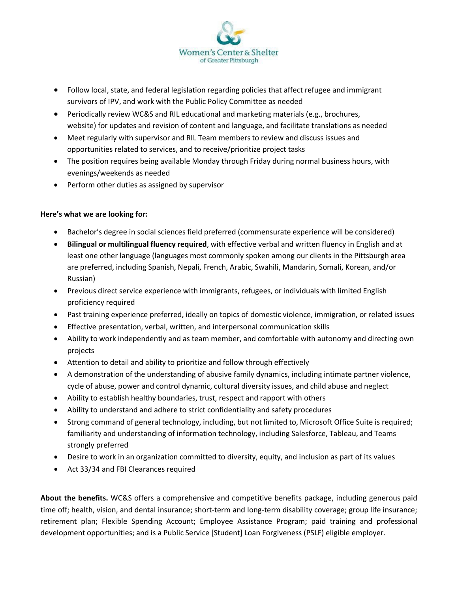

- Follow local, state, and federal legislation regarding policies that affect refugee and immigrant survivors of IPV, and work with the Public Policy Committee as needed
- Periodically review WC&S and RIL educational and marketing materials (e.g., brochures, website) for updates and revision of content and language, and facilitate translations as needed
- Meet regularly with supervisor and RIL Team members to review and discuss issues and opportunities related to services, and to receive/prioritize project tasks
- The position requires being available Monday through Friday during normal business hours, with evenings/weekends as needed
- Perform other duties as assigned by supervisor

## **Here's what we are looking for:**

- Bachelor's degree in social sciences field preferred (commensurate experience will be considered)
- **Bilingual or multilingual fluency required**, with effective verbal and written fluency in English and at least one other language (languages most commonly spoken among our clients in the Pittsburgh area are preferred, including Spanish, Nepali, French, Arabic, Swahili, Mandarin, Somali, Korean, and/or Russian)
- Previous direct service experience with immigrants, refugees, or individuals with limited English proficiency required
- Past training experience preferred, ideally on topics of domestic violence, immigration, or related issues
- Effective presentation, verbal, written, and interpersonal communication skills
- Ability to work independently and as team member, and comfortable with autonomy and directing own projects
- Attention to detail and ability to prioritize and follow through effectively
- A demonstration of the understanding of abusive family dynamics, including intimate partner violence, cycle of abuse, power and control dynamic, cultural diversity issues, and child abuse and neglect
- Ability to establish healthy boundaries, trust, respect and rapport with others
- Ability to understand and adhere to strict confidentiality and safety procedures
- Strong command of general technology, including, but not limited to, Microsoft Office Suite is required; familiarity and understanding of information technology, including Salesforce, Tableau, and Teams strongly preferred
- Desire to work in an organization committed to diversity, equity, and inclusion as part of its values
- Act 33/34 and FBI Clearances required

**About the benefits.** WC&S offers a comprehensive and competitive benefits package, including generous paid time off; health, vision, and dental insurance; short-term and long-term disability coverage; group life insurance; retirement plan; Flexible Spending Account; Employee Assistance Program; paid training and professional development opportunities; and is a Public Service [Student] Loan Forgiveness (PSLF) eligible employer.